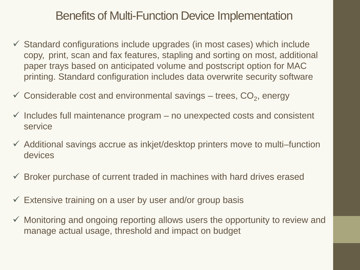### Benefits of Multi-Function Device Implementation

- $\checkmark$  Standard configurations include upgrades (in most cases) which include copy, print, scan and fax features, stapling and sorting on most, additional paper trays based on anticipated volume and postscript option for MAC printing. Standard configuration includes data overwrite security software
- $\checkmark$  Considerable cost and environmental savings trees,  $CO<sub>2</sub>$ , energy
- $\checkmark$  Includes full maintenance program no unexpected costs and consistent service
- $\checkmark$  Additional savings accrue as inkjet/desktop printers move to multi–function devices
- $\checkmark$  Broker purchase of current traded in machines with hard drives erased
- $\checkmark$  Extensive training on a user by user and/or group basis
- $\checkmark$  Monitoring and ongoing reporting allows users the opportunity to review and manage actual usage, threshold and impact on budget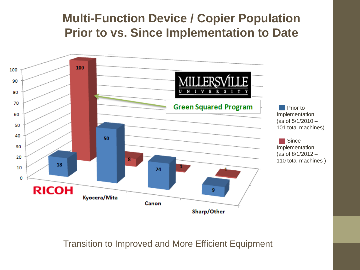## **Multi-Function Device / Copier Population Prior to vs. Since Implementation to Date**



Transition to Improved and More Efficient Equipment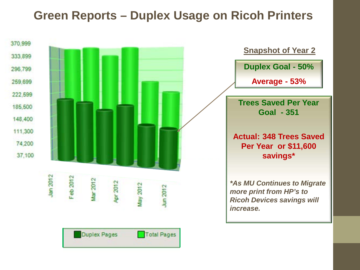### **Green Reports – Duplex Usage on Ricoh Printers**

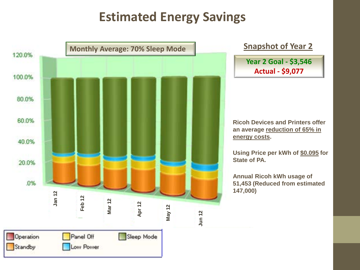# **Estimated Energy Savings**

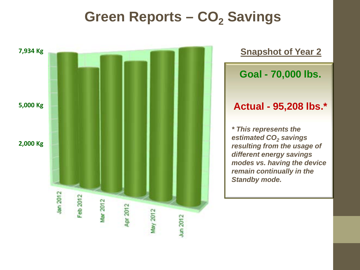# **Green Reports – CO<sub>2</sub> Savings**

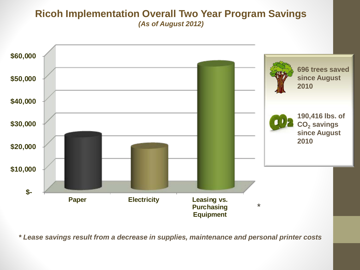#### **Ricoh Implementation Overall Two Year Program Savings**  *(As of August 2012)*



*\* Lease savings result from a decrease in supplies, maintenance and personal printer costs*